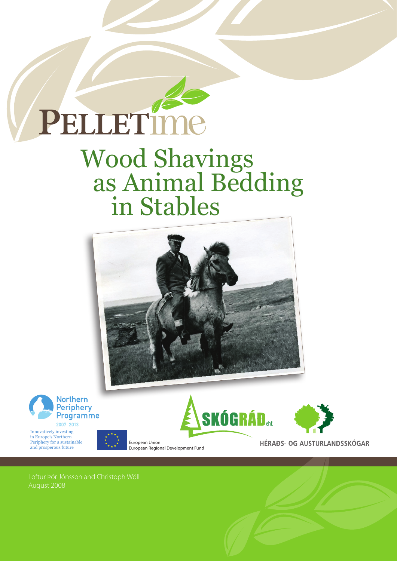

# Wood Shavings as Animal Bedding in Stables





Innovatively investing in Europe's Northern Periphery for a sustainable and prosperous future





HÉRAÐS- OG AUSTURLANDSSKÓGAR

Loftur Jonsson & Christoph Wöll August 2008

X<br>E

European Union

European Regional Development Fund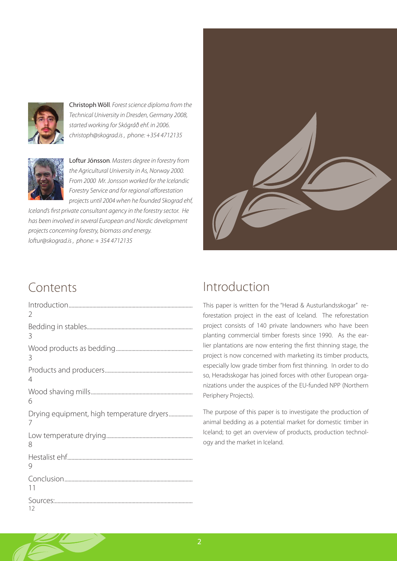

Christoph Wöll*. Forest science diploma from the Technical University in Dresden, Germany 2008, started working for Skógráð ehf. in 2006. christoph@skograd.is , phone: +354 4712135*



Loftur Jónsson*. Masters degree in forestry from the Agricultural University in As, Norway 2000. From 2000 Mr. Jonsson worked for the Icelandic Forestry Service and for regional afforestation projects until 2004 when he founded Skograd ehf,* 

*Iceland's first private consultant agency in the forestry sector. He has been involved in several European and Nordic development projects concerning forestry, biomass and energy. loftur@skograd.is , phone: + 354 4712135*

### Contents

| $\overline{\phantom{a}}$                       |
|------------------------------------------------|
| 3                                              |
| 3                                              |
| 4                                              |
| 6                                              |
| Drying equipment, high temperature dryers<br>7 |
| 8                                              |
| 9                                              |
|                                                |
| 11                                             |



### Introduction

This paper is written for the "Herad & Austurlandsskogar" reforestation project in the east of Iceland. The reforestation project consists of 140 private landowners who have been planting commercial timber forests since 1990. As the earlier plantations are now entering the first thinning stage, the project is now concerned with marketing its timber products, especially low grade timber from first thinning. In order to do so, Heradsskogar has joined forces with other European organizations under the auspices of the EU-funded NPP (Northern Periphery Projects).

The purpose of this paper is to investigate the production of animal bedding as a potential market for domestic timber in Iceland; to get an overview of products, production technology and the market in Iceland.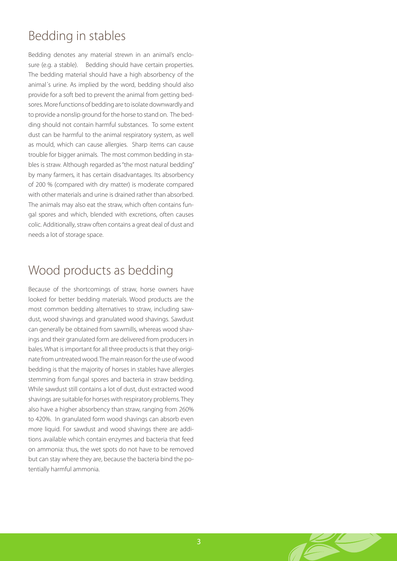### Bedding in stables

Bedding denotes any material strewn in an animal's enclosure (e.g. a stable). Bedding should have certain properties. The bedding material should have a high absorbency of the animal´s urine. As implied by the word, bedding should also provide for a soft bed to prevent the animal from getting bedsores. More functions of bedding are to isolate downwardly and to provide a nonslip ground for the horse to stand on. The bedding should not contain harmful substances. To some extent dust can be harmful to the animal respiratory system, as well as mould, which can cause allergies. Sharp items can cause trouble for bigger animals. The most common bedding in stables is straw. Although regarded as "the most natural bedding" by many farmers, it has certain disadvantages. Its absorbency of 200 % (compared with dry matter) is moderate compared with other materials and urine is drained rather than absorbed. The animals may also eat the straw, which often contains fungal spores and which, blended with excretions, often causes colic. Additionally, straw often contains a great deal of dust and needs a lot of storage space.

### Wood products as bedding

Because of the shortcomings of straw, horse owners have looked for better bedding materials. Wood products are the most common bedding alternatives to straw, including sawdust, wood shavings and granulated wood shavings. Sawdust can generally be obtained from sawmills, whereas wood shavings and their granulated form are delivered from producers in bales. What is important for all three products is that they originate from untreated wood. The main reason for the use of wood bedding is that the majority of horses in stables have allergies stemming from fungal spores and bacteria in straw bedding. While sawdust still contains a lot of dust, dust extracted wood shavings are suitable for horses with respiratory problems. They also have a higher absorbency than straw, ranging from 260% to 420%. In granulated form wood shavings can absorb even more liquid. For sawdust and wood shavings there are additions available which contain enzymes and bacteria that feed on ammonia: thus, the wet spots do not have to be removed but can stay where they are, because the bacteria bind the potentially harmful ammonia.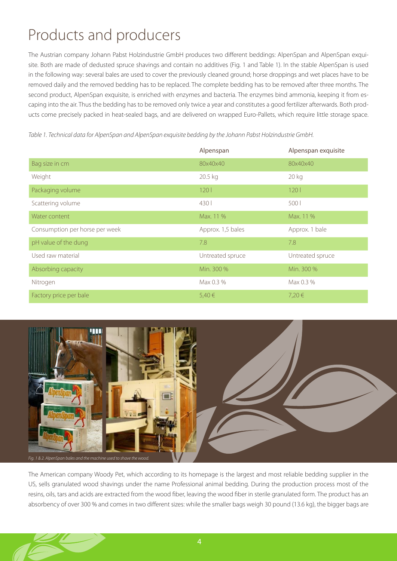# Products and producers

The Austrian company Johann Pabst Holzindustrie GmbH produces two different beddings: AlpenSpan and AlpenSpan exquisite. Both are made of dedusted spruce shavings and contain no additives (Fig. 1 and Table 1). In the stable AlpenSpan is used in the following way: several bales are used to cover the previously cleaned ground; horse droppings and wet places have to be removed daily and the removed bedding has to be replaced. The complete bedding has to be removed after three months. The second product, AlpenSpan exquisite, is enriched with enzymes and bacteria. The enzymes bind ammonia, keeping it from escaping into the air. Thus the bedding has to be removed only twice a year and constitutes a good fertilizer afterwards. Both products come precisely packed in heat-sealed bags, and are delivered on wrapped Euro-Pallets, which require little storage space.

|                                | Alpenspan         | Alpenspan exquisite |
|--------------------------------|-------------------|---------------------|
| Bag size in cm                 | 80x40x40          | 80x40x40            |
| Weight                         | 20.5 kg           | 20 kg               |
| Packaging volume               | 120l              | 120 <sup>1</sup>    |
| Scattering volume              | 430               | 500                 |
| Water content                  | Max. 11 %         | Max. 11 %           |
| Consumption per horse per week | Approx. 1,5 bales | Approx. 1 bale      |
| pH value of the dung           | 7.8               | 7.8                 |
| Used raw material              | Untreated spruce  | Untreated spruce    |
| Absorbing capacity             | Min. 300 %        | Min. 300 %          |
| Nitrogen                       | Max 0.3 %         | Max 0.3 %           |
| Factory price per bale         | 5,40€             | 7,20€               |

*Table 1. Technical data for AlpenSpan and AlpenSpan exquisite bedding by the Johann Pabst Holzindustrie GmbH.*



The American company Woody Pet, which according to its homepage is the largest and most reliable bedding supplier in the US, sells granulated wood shavings under the name Professional animal bedding. During the production process most of the resins, oils, tars and acids are extracted from the wood fiber, leaving the wood fiber in sterile granulated form. The product has an absorbency of over 300 % and comes in two different sizes: while the smaller bags weigh 30 pound (13.6 kg), the bigger bags are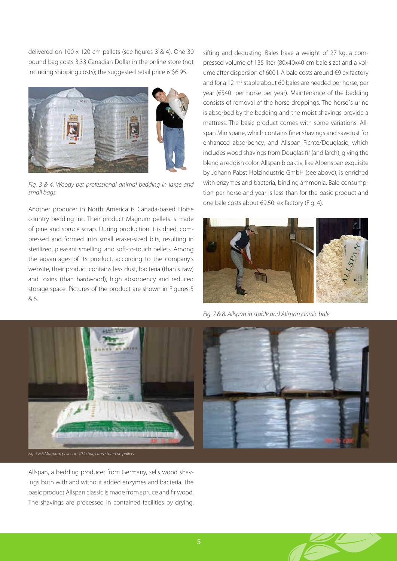delivered on 100 x 120 cm pallets (see figures 3 & 4). One 30 pound bag costs 3.33 Canadian Dollar in the online store (not including shipping costs); the suggested retail price is \$6.95.



*Fig. 3 & 4. Woody pet professional animal bedding in large and small bags.*

Another producer in North America is Canada-based Horse country bedding Inc. Their product Magnum pellets is made of pine and spruce scrap. During production it is dried, compressed and formed into small eraser-sized bits, resulting in sterilized, pleasant smelling, and soft-to-touch pellets. Among the advantages of its product, according to the company's website, their product contains less dust, bacteria (than straw) and toxins (than hardwood), high absorbency and reduced storage space. Pictures of the product are shown in Figures 5 & 6.

sifting and dedusting. Bales have a weight of 27 kg, a compressed volume of 135 liter (80x40x40 cm bale size) and a volume after dispersion of 600 l. A bale costs around €9 ex factory and for a 12 m<sup>2</sup> stable about 60 bales are needed per horse, per year (€540 per horse per year). Maintenance of the bedding consists of removal of the horse droppings. The horse´s urine is absorbed by the bedding and the moist shavings provide a mattress. The basic product comes with some variations: Allspan Minispäne, which contains finer shavings and sawdust for enhanced absorbency; and Allspan Fichte/Douglasie, which includes wood shavings from Douglas fir (and larch), giving the blend a reddish color. Allspan bioaktiv, like Alpenspan exquisite by Johann Pabst Holzindustrie GmbH (see above), is enriched with enzymes and bacteria, binding ammonia. Bale consumption per horse and year is less than for the basic product and one bale costs about €9.50 ex factory (Fig. 4).



*Fig. 7 & 8. Allspan in stable and Allspan classic bale*



Allspan, a bedding producer from Germany, sells wood shavings both with and without added enzymes and bacteria. The basic product Allspan classic is made from spruce and fir wood. The shavings are processed in contained facilities by drying,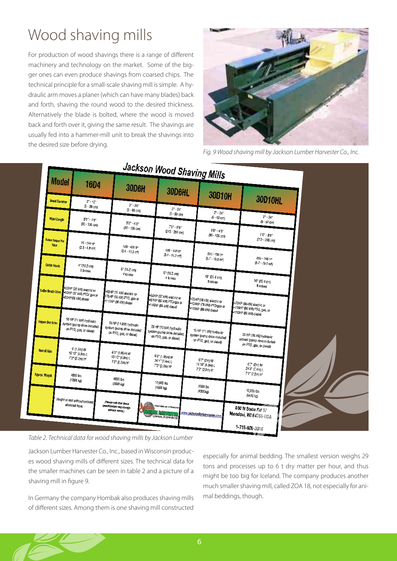# Wood shaving mills

For production of wood shavings there is a range of different machinery and technology on the market. Some of the bigger ones can even produce shavings from coarsed chips. The technical principle for a small-scale shaving mill is simple. A hydraulic arm moves a planer (which can have many blades) back and forth, shaving the round wood to the desired thickness. Alternatively the blade is bolted, where the wood is moved back and forth over it, giving the same result. The shavings are usually fed into a hammer-mill unit to break the shavings into the desired size before drying.



*Fig. 9 Wood shaving mill by Jackson Lumber Harvester Co., Inc.*



#### *Table 2. Technical data for wood shaving mills by Jackson Lumber*

Jackson Lumber Harvester Co., Inc., based in Wisconsin produces wood shaving mills of different sizes. The technical data for the smaller machines can be seen in table 2 and a picture of a shaving mill in figure 9.

In Germany the company Hombak also produces shaving mills of different sizes. Among them is one shaving mill constructed especially for animal bedding. The smallest version weighs 29 tons and processes up to 6 t dry matter per hour, and thus might be too big for Iceland. The company produces another much smaller shaving mill, called ZOA 18, not especially for animal beddings, though.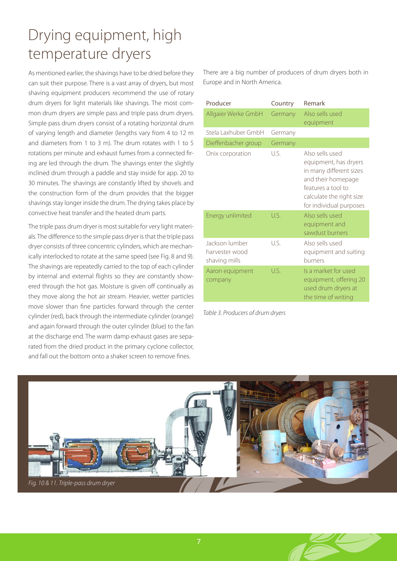# Drying equipment, high temperature dryers

As mentioned earlier, the shavings have to be dried before they can suit their purpose. There is a vast array of dryers, but most shaving equipment producers recommend the use of rotary drum dryers for light materials like shavings. The most common drum dryers are simple pass and triple pass drum dryers. Simple pass drum dryers consist of a rotating horizontal drum of varying length and diameter (lengths vary from 4 to 12 m and diameters from 1 to 3 m). The drum rotates with 1 to 5 rotations per minute and exhaust fumes from a connected firing are led through the drum. The shavings enter the slightly inclined drum through a paddle and stay inside for app. 20 to 30 minutes. The shavings are constantly lifted by shovels and the construction form of the drum provides that the bigger shavings stay longer inside the drum. The drying takes place by convective heat transfer and the heated drum parts.

The triple pass drum dryer is most suitable for very light materials. The difference to the simple pass dryer is that the triple pass dryer consists of three concentric cylinders, which are mechanically interlocked to rotate at the same speed (see Fig. 8 and 9). The shavings are repeatedly carried to the top of each cylinder by internal and external flights so they are constantly showered through the hot gas. Moisture is given off continually as they move along the hot air stream. Heavier, wetter particles move slower than fine particles forward through the center cylinder (red), back through the intermediate cylinder (orange) and again forward through the outer cylinder (blue) to the fan at the discharge end. The warm damp exhaust gases are separated from the dried product in the primary cyclone collector, and fall out the bottom onto a shaker screen to remove fines.

There are a big number of producers of drum dryers both in Europe and in North America.

| Producer                                          | Country    | Remark                                                                                                                                                                 |
|---------------------------------------------------|------------|------------------------------------------------------------------------------------------------------------------------------------------------------------------------|
| Allgaier Werke GmbH                               | Germany    | Also sells used<br>equipment                                                                                                                                           |
| Stela Laxhuber GmbH                               | Germany    |                                                                                                                                                                        |
| Dieffenbacher group                               | Germany    |                                                                                                                                                                        |
| Onix corporation                                  | U.S.       | Also sells used<br>equipment, has dryers<br>in many different sizes<br>and their homepage<br>features a tool to<br>calculate the right size<br>for individual purposes |
| Energy unlimited                                  | US.        | Also sells used<br>equipment and<br>sawdust burners                                                                                                                    |
| Jackson lumber<br>harvester wood<br>shaving mills | $U_{S}$    | Also sells used<br>equipment and suiting<br>burners                                                                                                                    |
| Aaron equipment<br>company                        | $U\bar{S}$ | Is a market for used<br>equipment, offering 20<br>used drum dryers at<br>the time of writing                                                                           |

*Table 3. Producers of drum dryers*

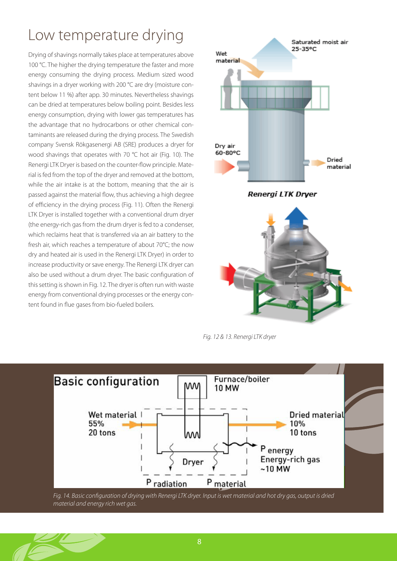# Low temperature drying

Drying of shavings normally takes place at temperatures above 100 °C. The higher the drying temperature the faster and more energy consuming the drying process. Medium sized wood shavings in a dryer working with 200 °C are dry (moisture content below 11 %) after app. 30 minutes. Nevertheless shavings can be dried at temperatures below boiling point. Besides less energy consumption, drying with lower gas temperatures has the advantage that no hydrocarbons or other chemical contaminants are released during the drying process. The Swedish company Svensk Rökgasenergi AB (SRE) produces a dryer for wood shavings that operates with 70 °C hot air (Fig. 10). The Renergi LTK Dryer is based on the counter-flow principle. Material is fed from the top of the dryer and removed at the bottom, while the air intake is at the bottom, meaning that the air is passed against the material flow, thus achieving a high degree of efficiency in the drying process (Fig. 11). Often the Renergi LTK Dryer is installed together with a conventional drum dryer (the energy-rich gas from the drum dryer is fed to a condenser, which reclaims heat that is transferred via an air battery to the fresh air, which reaches a temperature of about 70°C; the now dry and heated air is used in the Renergi LTK Dryer) in order to increase productivity or save energy. The Renergi LTK dryer can also be used without a drum dryer. The basic configuration of this setting is shown in Fig. 12. The dryer is often run with waste energy from conventional drying processes or the energy content found in flue gases from bio-fueled boilers.



*Fig. 12 & 13. Renergi LTK dryer*



*Fig. 14. Basic configuration of drying with Renergi LTK dryer. Input is wet material and hot dry gas, output is dried material and energy rich wet gas.*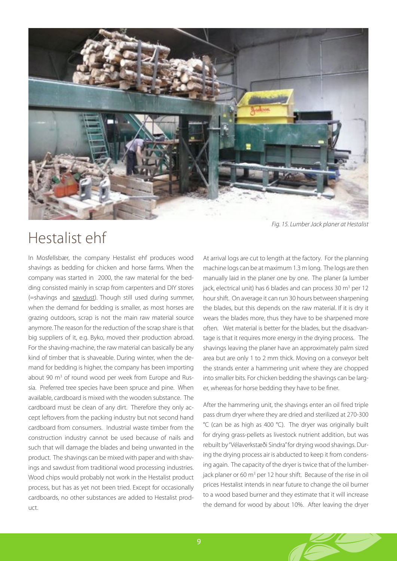

### Hestalist ehf

In Mosfellsbær, the company Hestalist ehf produces wood shavings as bedding for chicken and horse farms. When the company was started in 2000, the raw material for the bedding consisted mainly in scrap from carpenters and DIY stores (=shavings and sawdust). Though still used during summer, when the demand for bedding is smaller, as most horses are grazing outdoors, scrap is not the main raw material source anymore. The reason for the reduction of the scrap share is that big suppliers of it, e.g. Byko, moved their production abroad. For the shaving-machine, the raw material can basically be any kind of timber that is shaveable. During winter, when the demand for bedding is higher, the company has been importing about 90 m<sup>3</sup> of round wood per week from Europe and Russia. Preferred tree species have been spruce and pine. When available, cardboard is mixed with the wooden substance. The cardboard must be clean of any dirt. Therefore they only accept leftovers from the packing industry but not second hand cardboard from consumers. Industrial waste timber from the construction industry cannot be used because of nails and such that will damage the blades and being unwanted in the product. The shavings can be mixed with paper and with shavings and sawdust from traditional wood processing industries. Wood chips would probably not work in the Hestalist product process, but has as yet not been tried. Except for occasionally cardboards, no other substances are added to Hestalist product.

At arrival logs are cut to length at the factory. For the planning machine logs can be at maximum 1.3 m long. The logs are then manually laid in the planer one by one. The planer (a lumber jack, electrical unit) has 6 blades and can process 30 m<sup>3</sup> per 12 hour shift. On average it can run 30 hours between sharpening the blades, but this depends on the raw material. If it is dry it wears the blades more, thus they have to be sharpened more often. Wet material is better for the blades, but the disadvantage is that it requires more energy in the drying process. The shavings leaving the planer have an approximately palm sized area but are only 1 to 2 mm thick. Moving on a conveyor belt the strands enter a hammering unit where they are chopped into smaller bits. For chicken bedding the shavings can be larger, whereas for horse bedding they have to be finer.

After the hammering unit, the shavings enter an oil fired triple pass drum dryer where they are dried and sterilized at 270-300 °C (can be as high as 400 °C). The dryer was originally built for drying grass-pellets as livestock nutrient addition, but was rebuilt by "Vélaverkstæði Sindra" for drying wood shavings. During the drying process air is abducted to keep it from condensing again. The capacity of the dryer is twice that of the lumberjack planer or 60 m<sup>3</sup> per 12 hour shift. Because of the rise in oil prices Hestalist intends in near future to change the oil burner to a wood based burner and they estimate that it will increase the demand for wood by about 10%. After leaving the dryer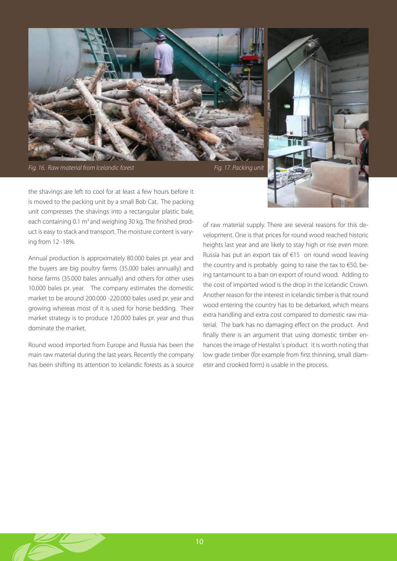

*Fig. 16. Raw material from Icelandic forest* Fig. 17. Packing unit

the shavings are left to cool for at least a few hours before it is moved to the packing unit by a small Bob Cat. The packing unit compresses the shavings into a rectangular plastic bale, each containing 0.1 m<sup>3</sup> and weighing 30 kg. The finished product is easy to stack and transport. The moisture content is varying from 12 -18%.

Annual production is approximately 80.000 bales pr. year and the buyers are big poultry farms (35.000 bales annually) and horse farms (35.000 bales annually) and others for other uses 10.000 bales pr. year. The company estimates the domestic market to be around 200.000 -220.000 bales used pr. year and growing whereas most of it is used for horse bedding. Their market strategy is to produce 120.000 bales pr. year and thus dominate the market.

Round wood imported from Europe and Russia has been the main raw material during the last years. Recently the company has been shifting its attention to Icelandic forests as a source

of raw material supply. There are several reasons for this development. One is that prices for round wood reached historic heights last year and are likely to stay high or rise even more: Russia has put an export tax of €15 on round wood leaving the country and is probably going to raise the tax to €50, being tantamount to a ban on export of round wood. Adding to the cost of imported wood is the drop in the Icelandic Crown. Another reason for the interest in Icelandic timber is that round wood entering the country has to be debarked, which means extra handling and extra cost compared to domestic raw material. The bark has no damaging effect on the product. And finally there is an argument that using domestic timber enhances the image of Hestalist´s product. It is worth noting that low grade timber (for example from first thinning, small diameter and crooked form) is usable in the process.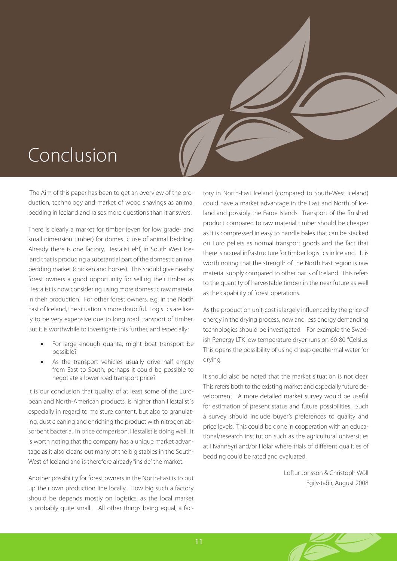# Conclusion

 The Aim of this paper has been to get an overview of the production, technology and market of wood shavings as animal bedding in Iceland and raises more questions than it answers.

There is clearly a market for timber (even for low grade- and small dimension timber) for domestic use of animal bedding. Already there is one factory, Hestalist ehf, in South West Iceland that is producing a substantial part of the domestic animal bedding market (chicken and horses). This should give nearby forest owners a good opportunity for selling their timber as Hestalist is now considering using more domestic raw material in their production. For other forest owners, e.g. in the North East of Iceland, the situation is more doubtful. Logistics are likely to be very expensive due to long road transport of timber. But it is worthwhile to investigate this further, and especially:

- For large enough quanta, might boat transport be possible?
- As the transport vehicles usually drive half empty from East to South, perhaps it could be possible to negotiate a lower road transport price?

It is our conclusion that quality, of at least some of the European and North-American products, is higher than Hestalist´s especially in regard to moisture content, but also to granulating, dust cleaning and enriching the product with nitrogen absorbent bacteria. In price comparison, Hestalist is doing well. It is worth noting that the company has a unique market advantage as it also cleans out many of the big stables in the South-West of Iceland and is therefore already "inside" the market.

Another possibility for forest owners in the North-East is to put up their own production line locally. How big such a factory should be depends mostly on logistics, as the local market is probably quite small. All other things being equal, a factory in North-East Iceland (compared to South-West Iceland) could have a market advantage in the East and North of Iceland and possibly the Faroe Islands. Transport of the finished product compared to raw material timber should be cheaper as it is compressed in easy to handle bales that can be stacked on Euro pellets as normal transport goods and the fact that there is no real infrastructure for timber logistics in Iceland. It is worth noting that the strength of the North East region is raw material supply compared to other parts of Iceland. This refers to the quantity of harvestable timber in the near future as well as the capability of forest operations.

As the production unit-cost is largely influenced by the price of energy in the drying process, new and less energy demanding technologies should be investigated. For example the Swedish Renergy LTK low temperature dryer runs on 60-80 °Celsius. This opens the possibility of using cheap geothermal water for drying.

It should also be noted that the market situation is not clear. This refers both to the existing market and especially future development. A more detailed market survey would be useful for estimation of present status and future possibilities. Such a survey should include buyer's preferences to quality and price levels. This could be done in cooperation with an educational/research institution such as the agricultural universities at Hvanneyri and/or Hólar where trials of different qualities of bedding could be rated and evaluated.

> Loftur Jonsson & Christoph Wöll Egilsstaðir, August 2008